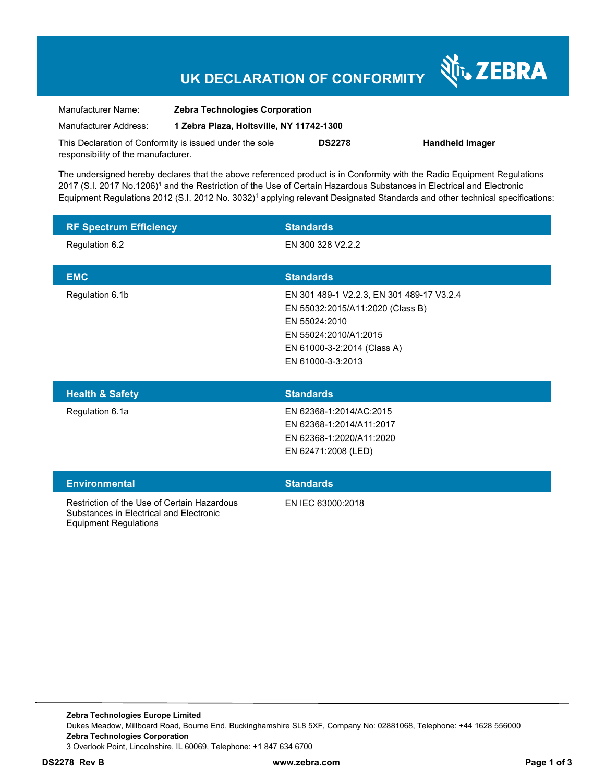## **UK DECLARATION OF CONFORMITY**

Nr. ZEBRA

| Manufacturer Name:                                      | <b>Zebra Technologies Corporation</b>    |               |                        |
|---------------------------------------------------------|------------------------------------------|---------------|------------------------|
| Manufacturer Address:                                   | 1 Zebra Plaza, Holtsville, NY 11742-1300 |               |                        |
| This Declaration of Conformity is issued under the sole |                                          | <b>DS2278</b> | <b>Handheld Imager</b> |
| responsibility of the manufacturer.                     |                                          |               |                        |

The undersigned hereby declares that the above referenced product is in Conformity with the Radio Equipment Regulations 2017 (S.I. 2017 No.1206)<sup>1</sup> and the Restriction of the Use of Certain Hazardous Substances in Electrical and Electronic Equipment Regulations 2012 (S.I. 2012 No. 3032)<sup>1</sup> applying relevant Designated Standards and other technical specifications:

| <b>RF Spectrum Efficiency</b> | <b>Standards</b>                                                                                                                                                            |
|-------------------------------|-----------------------------------------------------------------------------------------------------------------------------------------------------------------------------|
| Regulation 6.2                | EN 300 328 V2.2.2                                                                                                                                                           |
| <b>EMC</b>                    | <b>Standards</b>                                                                                                                                                            |
| Regulation 6.1b               | EN 301 489-1 V2.2.3, EN 301 489-17 V3.2.4<br>EN 55032:2015/A11:2020 (Class B)<br>EN 55024:2010<br>EN 55024:2010/A1:2015<br>EN 61000-3-2:2014 (Class A)<br>EN 61000-3-3:2013 |
| Hoalth & Safoty               | <b>Standarde</b>                                                                                                                                                            |

| <b>Health &amp; Safety</b> | <b>Standards</b>         |
|----------------------------|--------------------------|
| Regulation 6.1a            | EN 62368-1:2014/AC:2015  |
|                            | EN 62368-1:2014/A11:2017 |
|                            | EN 62368-1:2020/A11:2020 |
|                            | EN 62471:2008 (LED)      |
|                            |                          |

| <b>Environmental</b>                                                                                            | <b>Standards</b>  |
|-----------------------------------------------------------------------------------------------------------------|-------------------|
| Restriction of the Use of Certain Hazardous<br>Substances in Electrical and Electronic<br>Equipment Regulations | FN IFC 63000:2018 |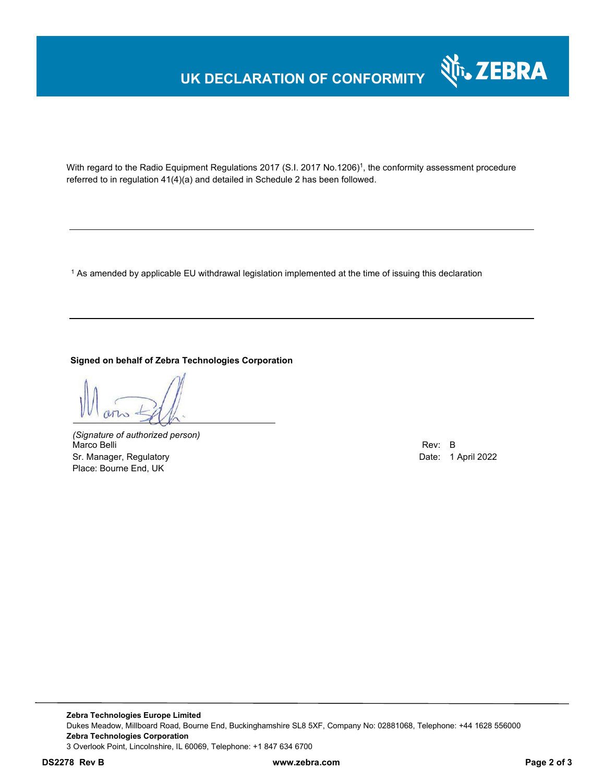### **UK DECLARATION OF CONFORMITY**



With regard to the Radio Equipment Regulations 2017 (S.I. 2017 No.1206)<sup>1</sup>, the conformity assessment procedure referred to in regulation 41(4)(a) and detailed in Schedule 2 has been followed.

1 As amended by applicable EU withdrawal legislation implemented at the time of issuing this declaration

#### **Signed on behalf of Zebra Technologies Corporation**

*(Signature of authorized person)* Marco Belli Rev: B Sr. Manager, Regulatory **Date: 1 April 2022** Place: Bourne End, UK